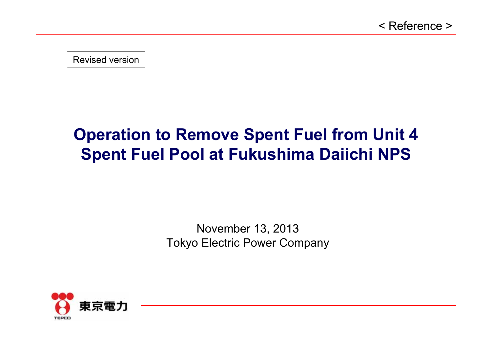Revised version

# **Operation to Remove Spent Fuel from Unit 4 Spent Fuel Pool at Fukushima Daiichi NPS**

November 13, 2013 Tokyo Electric Power Company

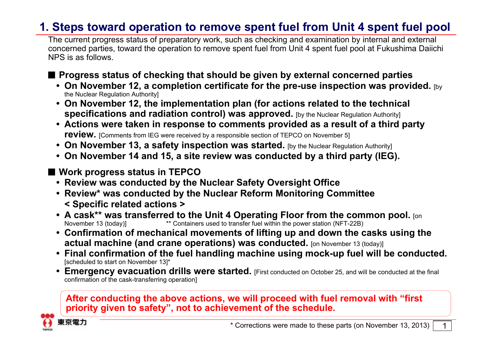## **1. Steps toward operation to remove spent fuel from Unit 4 spent fuel pool**

The current progress status of preparatory work, such as checking and examination by internal and external concerned parties, toward the operation to remove spent fuel from Unit 4 spent fuel pool at Fukushima Daiichi NPS is as follows.

■ Progress status of checking that should be given by external concerned parties

- **• On November 12, a completion certificate for the pre-use inspection was provided.** [by the Nuclear Regulation Authority]
- **• On November 12, the implementation plan (for actions related to the technical specifications and radiation control) was approved.** [by the Nuclear Regulation Authority]
- **• Actions were taken in response to comments provided as a result of a third party review.** [Comments from IEG were received by a responsible section of TEPCO on November 5]
- **• On November 13, a safety inspection was started.** [by the Nuclear Regulation Authority]
- **• On November 14 and 15, a site review was conducted by a third party (IEG).**
- Work progress status in **TEPCO** 
	- **• Review was conducted by the Nuclear Safety Oversight Office**
	- **• Review\* was conducted by the Nuclear Reform Monitoring Committee < Specific related actions <sup>&</sup>gt;**
	- **• A cask\*\* was transferred to the Unit 4 Operating Floor from the common pool.** [on November 13 (today)] \*\* Containers used to transfer fuel within the power station (NFT-22B)
	- **• Confirmation of mechanical movements of lifting up and down the casks using the actual machine (and crane operations) was conducted.** [on November 13 (today)]
	- **• Final confirmation of the fuel handling machine using mock-up fuel will be conducted.** [scheduled to start on November 13]\*
	- **• Emergency evacuation drills were started.** [First conducted on October 25, and will be conducted at the final confirmation of the cask-transferring operation]

#### **After conducting the above actions, we will proceed with fuel removal with "first priority given to safety", not to achievement of the schedule.**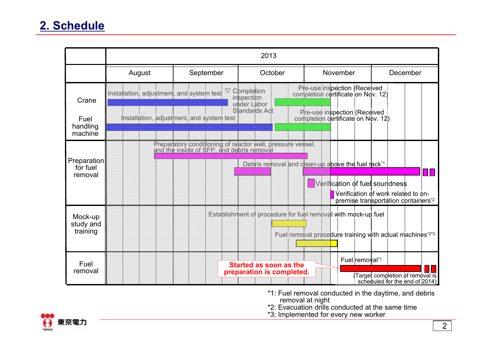|                                           | 2013                                      |                                           |                                                                                                         |                                                                                                                           |                                                                                             |
|-------------------------------------------|-------------------------------------------|-------------------------------------------|---------------------------------------------------------------------------------------------------------|---------------------------------------------------------------------------------------------------------------------------|---------------------------------------------------------------------------------------------|
|                                           | August                                    | September                                 | October                                                                                                 | November                                                                                                                  | December                                                                                    |
| Crane                                     | Installation, adjustment, and system test | $\triangledown$                           | Completion<br>inspection<br>under Labor                                                                 | Pre-use inspection (Received<br>completion certificate on Ndv. 12)                                                        |                                                                                             |
| Fuel<br>handling<br>machine               |                                           | Installation, adjustment, and system test | Standards Act                                                                                           | Pre-use inspection (Received<br>completion dertificate on Nov. 12)                                                        |                                                                                             |
| <b>Preparation</b><br>for fuel<br>removal |                                           |                                           | Preparatory conditioning of reactor well, pressure vessel,<br>and the inside of SFP, and debris removal | Debris removal and clean-up above the fuel rack*1<br>Verification of fuel soundness                                       | Ш<br>Verification of work related to on-<br>premise transportation containers <sup>*2</sup> |
| Mock-up<br>study and<br>training          |                                           |                                           |                                                                                                         | Establishment of procedure for fuel removal with mock-up fuel<br>Fuel removal procedure training with actual machines*2*3 |                                                                                             |
| Fuel<br>removal                           |                                           |                                           | <b>Started as soon as the</b><br>preparation is completed.                                              | Fuel removal*1                                                                                                            | Target completion of removal is<br>scheduled for the end of 2014)                           |

- \*1: Fuel removal conducted in the daytime, and debris removal at night
- \*2: Evacuation drills conducted at the same time
- \*3: Implemented for every new worker

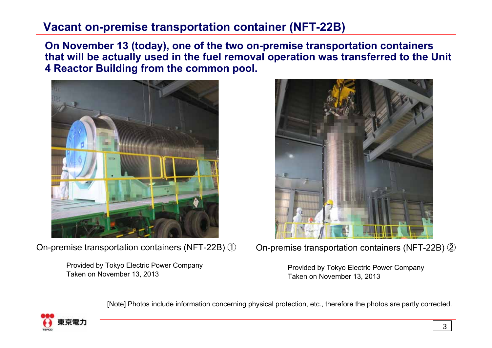### **Vacant on-premise transportation container (NFT-22B)**

**On November 13 (today), one of the two on-premise transportation containers that will be actually used in the fuel removal operation was transferred to the Unit 4 Reactor Building from the common pool.**



On-premise transportation containers (NFT-22B) ①

Provided by Tokyo Electric Power Company Taken on November 13, 2013



On-premise transportation containers (NFT-22B) ②

Provided by Tokyo Electric Power Company Taken on November 13, 2013

[Note] Photos include information concerning physical protection, etc., therefore the photos are partly corrected.

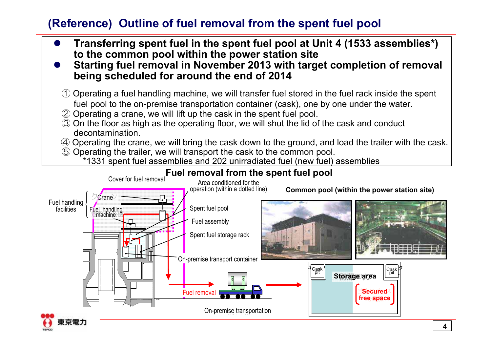# **(Reference) Outline of fuel removal from the spent fuel pool**

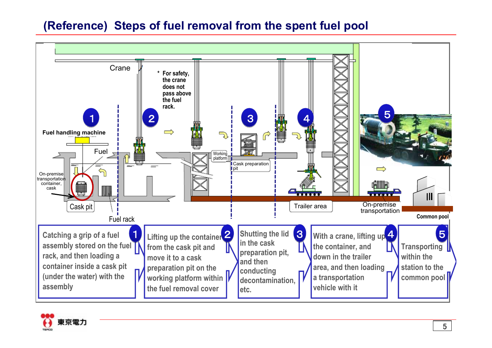# **(Reference) Steps of fuel removal from the spent fuel pool**